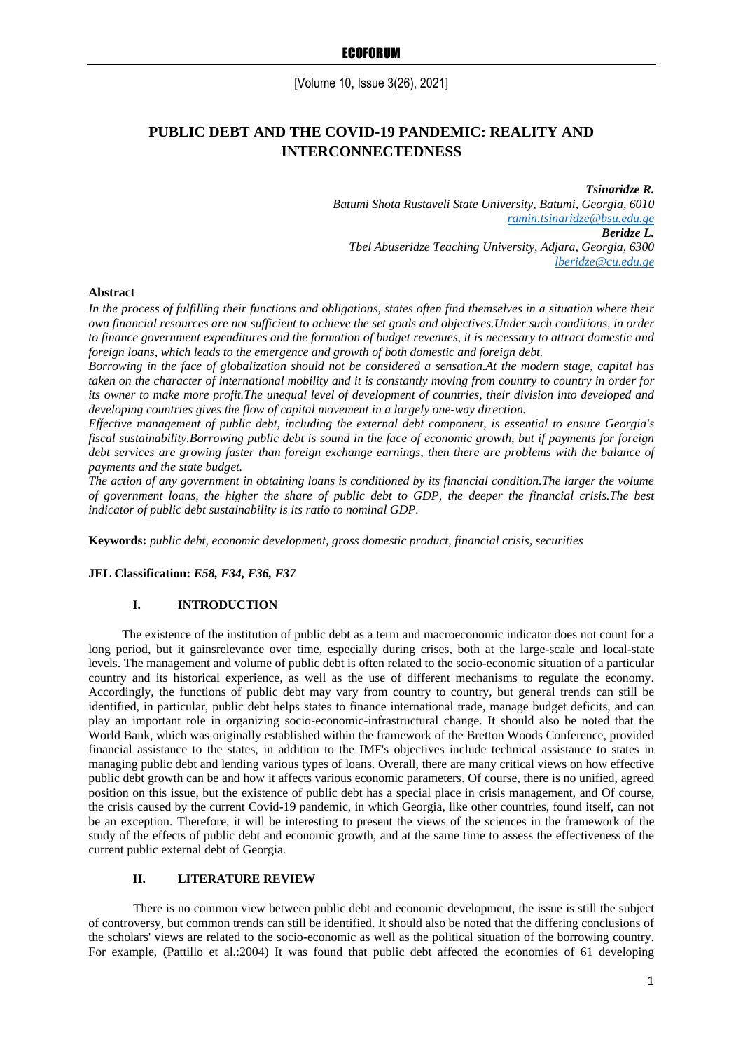[Volume 10, Issue 3(26), 2021]

# **PUBLIC DEBT AND THE COVID-19 PANDEMIC: REALITY AND INTERCONNECTEDNESS**

*Tsinaridze R. Batumi Shota Rustaveli State University, Batumi, Georgia, 6010 [ramin.tsinaridze@bsu.edu.ge](mailto:ramin.tsinaridze@bsu.edu.ge) Beridze L. Tbel Abuseridze Teaching University, Adjara, Georgia, 6300 [lberidze@cu.edu.ge](mailto:lberidze@cu.edu.ge)*

### **Abstract**

*In the process of fulfilling their functions and obligations, states often find themselves in a situation where their own financial resources are not sufficient to achieve the set goals and objectives.Under such conditions, in order to finance government expenditures and the formation of budget revenues, it is necessary to attract domestic and foreign loans, which leads to the emergence and growth of both domestic and foreign debt.*

*Borrowing in the face of globalization should not be considered a sensation.At the modern stage, capital has taken on the character of international mobility and it is constantly moving from country to country in order for its owner to make more profit.The unequal level of development of countries, their division into developed and developing countries gives the flow of capital movement in a largely one-way direction.*

*Effective management of public debt, including the external debt component, is essential to ensure Georgia's fiscal sustainability.Borrowing public debt is sound in the face of economic growth, but if payments for foreign debt services are growing faster than foreign exchange earnings, then there are problems with the balance of payments and the state budget.*

*The action of any government in obtaining loans is conditioned by its financial condition.The larger the volume of government loans, the higher the share of public debt to GDP, the deeper the financial crisis.The best indicator of public debt sustainability is its ratio to nominal GDP.*

**Keywords:** *public debt, economic development, gross domestic product, financial crisis, securities*

**JEL Classification:** *E58, F34, F36, F37*

# **I. INTRODUCTION**

The existence of the institution of public debt as a term and macroeconomic indicator does not count for a long period, but it gainsrelevance over time, especially during crises, both at the large-scale and local-state levels. The management and volume of public debt is often related to the socio-economic situation of a particular country and its historical experience, as well as the use of different mechanisms to regulate the economy. Accordingly, the functions of public debt may vary from country to country, but general trends can still be identified, in particular, public debt helps states to finance international trade, manage budget deficits, and can play an important role in organizing socio-economic-infrastructural change. It should also be noted that the World Bank, which was originally established within the framework of the Bretton Woods Conference, provided financial assistance to the states, in addition to the IMF's objectives include technical assistance to states in managing public debt and lending various types of loans. Overall, there are many critical views on how effective public debt growth can be and how it affects various economic parameters. Of course, there is no unified, agreed position on this issue, but the existence of public debt has a special place in crisis management, and Of course, the crisis caused by the current Covid-19 pandemic, in which Georgia, like other countries, found itself, can not be an exception. Therefore, it will be interesting to present the views of the sciences in the framework of the study of the effects of public debt and economic growth, and at the same time to assess the effectiveness of the current public external debt of Georgia.

### **II. LITERATURE REVIEW**

There is no common view between public debt and economic development, the issue is still the subject of controversy, but common trends can still be identified. It should also be noted that the differing conclusions of the scholars' views are related to the socio-economic as well as the political situation of the borrowing country. For example, (Pattillo et al.:2004) It was found that public debt affected the economies of 61 developing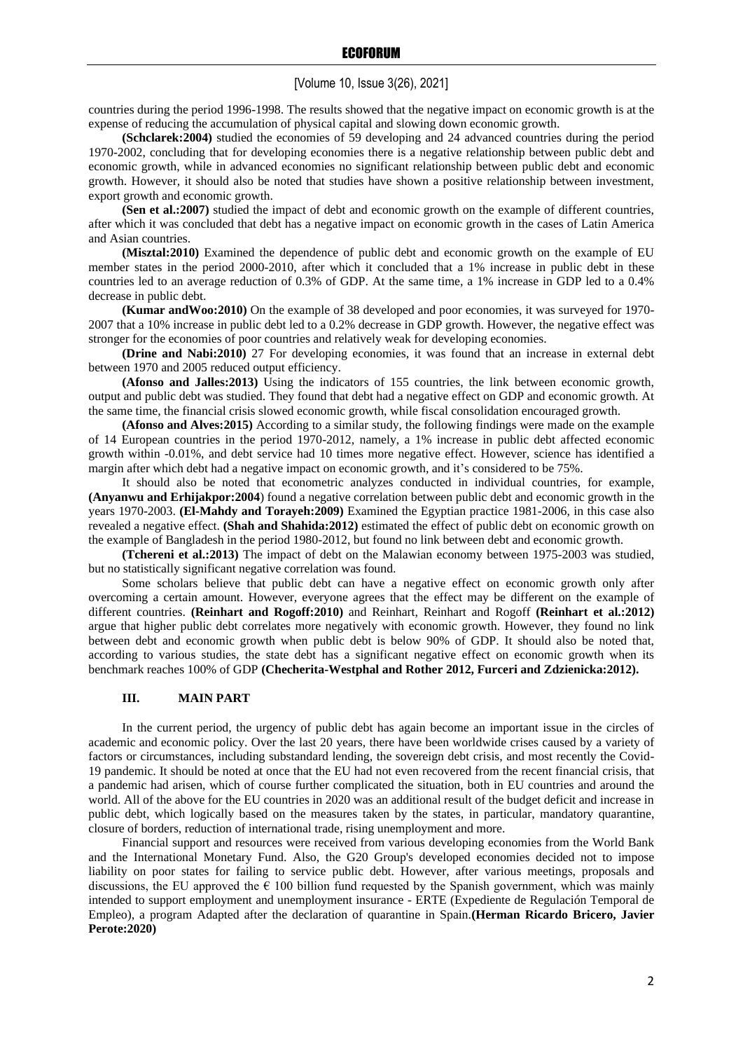# [Volume 10, Issue 3(26), 2021]

countries during the period 1996-1998. The results showed that the negative impact on economic growth is at the expense of reducing the accumulation of physical capital and slowing down economic growth.

**(Schclarek:2004)** studied the economies of 59 developing and 24 advanced countries during the period 1970-2002, concluding that for developing economies there is a negative relationship between public debt and economic growth, while in advanced economies no significant relationship between public debt and economic growth. However, it should also be noted that studies have shown a positive relationship between investment, export growth and economic growth.

**(Sen et al.:2007)** studied the impact of debt and economic growth on the example of different countries, after which it was concluded that debt has a negative impact on economic growth in the cases of Latin America and Asian countries.

**(Misztal:2010)** Examined the dependence of public debt and economic growth on the example of EU member states in the period 2000-2010, after which it concluded that a 1% increase in public debt in these countries led to an average reduction of 0.3% of GDP. At the same time, a 1% increase in GDP led to a 0.4% decrease in public debt.

**(Kumar andWoo:2010)** On the example of 38 developed and poor economies, it was surveyed for 1970- 2007 that a 10% increase in public debt led to a 0.2% decrease in GDP growth. However, the negative effect was stronger for the economies of poor countries and relatively weak for developing economies.

**(Drine and Nabi:2010)** 27 For developing economies, it was found that an increase in external debt between 1970 and 2005 reduced output efficiency.

**(Afonso and Jalles:2013)** Using the indicators of 155 countries, the link between economic growth, output and public debt was studied. They found that debt had a negative effect on GDP and economic growth. At the same time, the financial crisis slowed economic growth, while fiscal consolidation encouraged growth.

**(Afonso and Alves:2015)** According to a similar study, the following findings were made on the example of 14 European countries in the period 1970-2012, namely, a 1% increase in public debt affected economic growth within -0.01%, and debt service had 10 times more negative effect. However, science has identified a margin after which debt had a negative impact on economic growth, and it's considered to be 75%.

It should also be noted that econometric analyzes conducted in individual countries, for example, **(Anyanwu and Erhijakpor:2004**) found a negative correlation between public debt and economic growth in the years 1970-2003. **(El-Mahdy and Torayeh:2009)** Examined the Egyptian practice 1981-2006, in this case also revealed a negative effect. **(Shah and Shahida:2012)** estimated the effect of public debt on economic growth on the example of Bangladesh in the period 1980-2012, but found no link between debt and economic growth.

**(Tchereni et al.:2013)** The impact of debt on the Malawian economy between 1975-2003 was studied, but no statistically significant negative correlation was found.

Some scholars believe that public debt can have a negative effect on economic growth only after overcoming a certain amount. However, everyone agrees that the effect may be different on the example of different countries. **(Reinhart and Rogoff:2010)** and Reinhart, Reinhart and Rogoff **(Reinhart et al.:2012)**  argue that higher public debt correlates more negatively with economic growth. However, they found no link between debt and economic growth when public debt is below 90% of GDP. It should also be noted that, according to various studies, the state debt has a significant negative effect on economic growth when its benchmark reaches 100% of GDP **(Checherita-Westphal and Rother 2012, Furceri and Zdzienicka:2012).**

### **III. MAIN PART**

In the current period, the urgency of public debt has again become an important issue in the circles of academic and economic policy. Over the last 20 years, there have been worldwide crises caused by a variety of factors or circumstances, including substandard lending, the sovereign debt crisis, and most recently the Covid-19 pandemic. It should be noted at once that the EU had not even recovered from the recent financial crisis, that a pandemic had arisen, which of course further complicated the situation, both in EU countries and around the world. All of the above for the EU countries in 2020 was an additional result of the budget deficit and increase in public debt, which logically based on the measures taken by the states, in particular, mandatory quarantine, closure of borders, reduction of international trade, rising unemployment and more.

Financial support and resources were received from various developing economies from the World Bank and the International Monetary Fund. Also, the G20 Group's developed economies decided not to impose liability on poor states for failing to service public debt. However, after various meetings, proposals and discussions, the EU approved the  $\epsilon$  100 billion fund requested by the Spanish government, which was mainly intended to support employment and unemployment insurance - ERTE (Expediente de Regulación Temporal de Empleo), a program Adapted after the declaration of quarantine in Spain.**(Herman Ricardo Bricero, Javier Perote:2020)**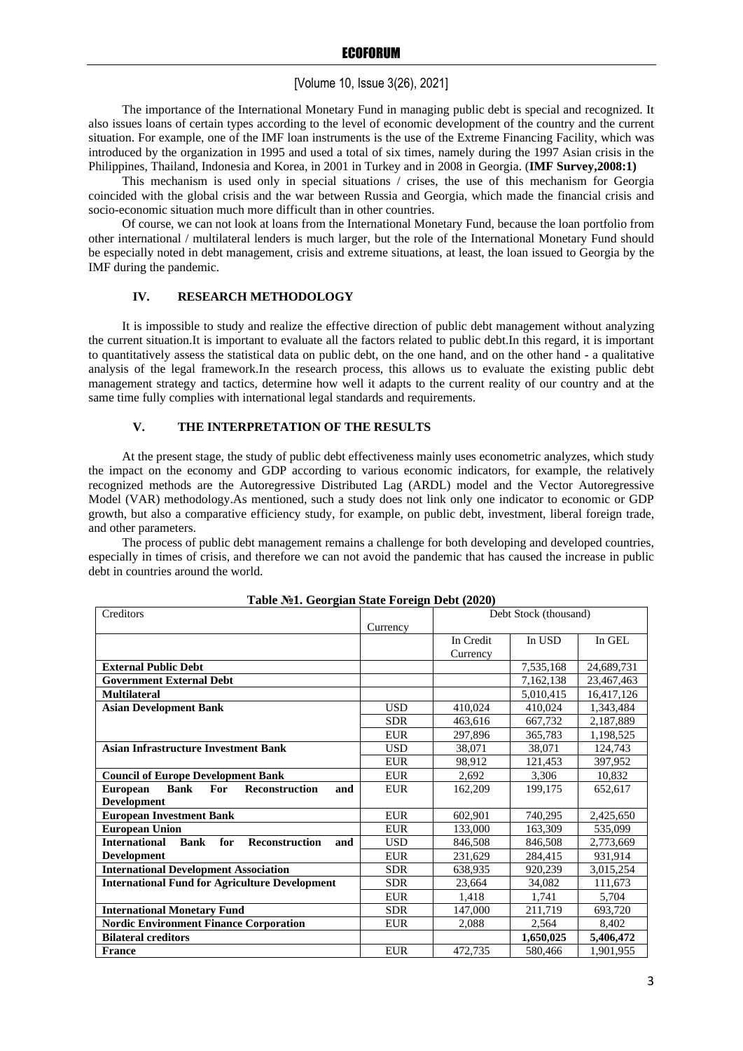# [Volume 10, Issue 3(26), 2021]

The importance of the International Monetary Fund in managing public debt is special and recognized. It also issues loans of certain types according to the level of economic development of the country and the current situation. For example, one of the IMF loan instruments is the use of the Extreme Financing Facility, which was introduced by the organization in 1995 and used a total of six times, namely during the 1997 Asian crisis in the Philippines, Thailand, Indonesia and Korea, in 2001 in Turkey and in 2008 in Georgia. (**IMF Survey,2008:1)**

This mechanism is used only in special situations / crises, the use of this mechanism for Georgia coincided with the global crisis and the war between Russia and Georgia, which made the financial crisis and socio-economic situation much more difficult than in other countries.

Of course, we can not look at loans from the International Monetary Fund, because the loan portfolio from other international / multilateral lenders is much larger, but the role of the International Monetary Fund should be especially noted in debt management, crisis and extreme situations, at least, the loan issued to Georgia by the IMF during the pandemic.

# **IV. RESEARCH METHODOLOGY**

It is impossible to study and realize the effective direction of public debt management without analyzing the current situation.It is important to evaluate all the factors related to public debt.In this regard, it is important to quantitatively assess the statistical data on public debt, on the one hand, and on the other hand - a qualitative analysis of the legal framework.In the research process, this allows us to evaluate the existing public debt management strategy and tactics, determine how well it adapts to the current reality of our country and at the same time fully complies with international legal standards and requirements.

### **V. THE INTERPRETATION OF THE RESULTS**

At the present stage, the study of public debt effectiveness mainly uses econometric analyzes, which study the impact on the economy and GDP according to various economic indicators, for example, the relatively recognized methods are the Autoregressive Distributed Lag (ARDL) model and the Vector Autoregressive Model (VAR) methodology.As mentioned, such a study does not link only one indicator to economic or GDP growth, but also a comparative efficiency study, for example, on public debt, investment, liberal foreign trade, and other parameters.

The process of public debt management remains a challenge for both developing and developed countries, especially in times of crisis, and therefore we can not avoid the pandemic that has caused the increase in public debt in countries around the world.

| rabic Mer. Ocorgian Blace Forcign Debt (2020)                                |            |           |                       |            |
|------------------------------------------------------------------------------|------------|-----------|-----------------------|------------|
| Creditors                                                                    |            |           | Debt Stock (thousand) |            |
|                                                                              | Currency   |           |                       |            |
|                                                                              |            | In Credit | In USD                | In GEL     |
|                                                                              |            | Currency  |                       |            |
| <b>External Public Debt</b>                                                  |            |           | 7,535,168             | 24,689,731 |
| <b>Government External Debt</b>                                              |            |           | 7,162,138             | 23,467,463 |
| <b>Multilateral</b>                                                          |            |           | 5,010,415             | 16,417,126 |
| <b>Asian Development Bank</b>                                                | <b>USD</b> | 410.024   | 410.024               | 1,343,484  |
|                                                                              | <b>SDR</b> | 463,616   | 667,732               | 2,187,889  |
|                                                                              | <b>EUR</b> | 297,896   | 365,783               | 1,198,525  |
| <b>Asian Infrastructure Investment Bank</b>                                  | <b>USD</b> | 38,071    | 38,071                | 124,743    |
|                                                                              | <b>EUR</b> | 98,912    | 121,453               | 397,952    |
| <b>Council of Europe Development Bank</b>                                    | <b>EUR</b> | 2,692     | 3.306                 | 10.832     |
| <b>Bank</b><br><b>Reconstruction</b><br><b>For</b><br><b>European</b><br>and | <b>EUR</b> | 162,209   | 199.175               | 652.617    |
| <b>Development</b>                                                           |            |           |                       |            |
| <b>European Investment Bank</b>                                              | <b>EUR</b> | 602,901   | 740,295               | 2,425,650  |
| <b>European Union</b>                                                        | <b>EUR</b> | 133,000   | 163,309               | 535,099    |
| <b>International</b><br>for<br><b>Reconstruction</b><br><b>Bank</b><br>and   | <b>USD</b> | 846,508   | 846,508               | 2,773,669  |
| <b>Development</b>                                                           | <b>EUR</b> | 231,629   | 284,415               | 931,914    |
| <b>International Development Association</b>                                 | <b>SDR</b> | 638,935   | 920,239               | 3,015,254  |
| <b>International Fund for Agriculture Development</b>                        | <b>SDR</b> | 23,664    | 34,082                | 111,673    |
|                                                                              | <b>EUR</b> | 1,418     | 1,741                 | 5,704      |
| <b>International Monetary Fund</b>                                           | <b>SDR</b> | 147,000   | 211,719               | 693,720    |
| <b>Nordic Environment Finance Corporation</b>                                | <b>EUR</b> | 2,088     | 2,564                 | 8,402      |
| <b>Bilateral creditors</b>                                                   |            |           | 1,650,025             | 5,406,472  |
| <b>France</b>                                                                | <b>EUR</b> | 472,735   | 580,466               | 1,901,955  |

### **Table №1. Georgian State Foreign Debt (2020)**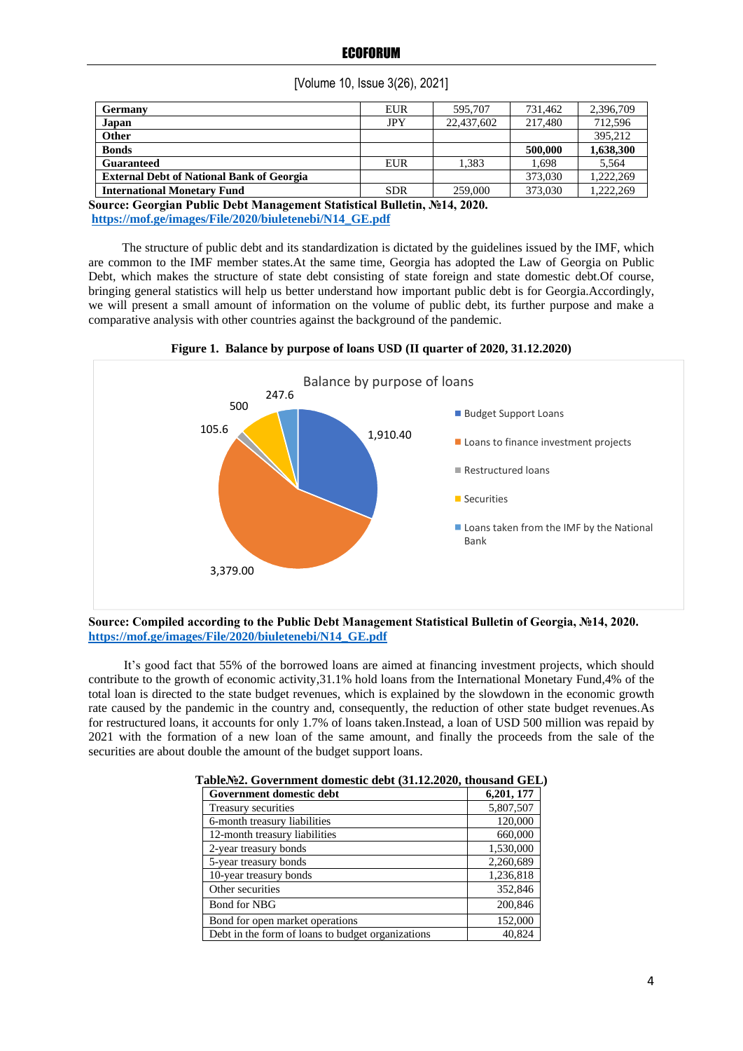| <b>Germany</b>                                   | <b>EUR</b> | 595,707    | 731.462 | 2,396,709 |
|--------------------------------------------------|------------|------------|---------|-----------|
| Japan                                            | <b>JPY</b> | 22,437,602 | 217,480 | 712,596   |
| Other                                            |            |            |         | 395.212   |
| <b>Bonds</b>                                     |            |            | 500,000 | 1,638,300 |
| Guaranteed                                       | EUR        | 1.383      | 1.698   | 5.564     |
| <b>External Debt of National Bank of Georgia</b> |            |            | 373,030 | 1.222.269 |
| <b>International Monetary Fund</b>               | <b>SDR</b> | 259,000    | 373,030 | 1.222.269 |

[Volume 10, Issue 3(26), 2021]

**Source: Georgian Public Debt Management Statistical Bulletin, №14, 2020. [https://mof.ge/images/File/2020/biuletenebi/N14\\_GE.pdf](https://mof.ge/images/File/2020/biuletenebi/N14_GE.pdf)**

The structure of public debt and its standardization is dictated by the guidelines issued by the IMF, which are common to the IMF member states.At the same time, Georgia has adopted the Law of Georgia on Public Debt, which makes the structure of state debt consisting of state foreign and state domestic debt.Of course, bringing general statistics will help us better understand how important public debt is for Georgia.Accordingly, we will present a small amount of information on the volume of public debt, its further purpose and make a comparative analysis with other countries against the background of the pandemic.



**Figure 1. Balance by purpose of loans USD (II quarter of 2020, 31.12.2020)**

It's good fact that 55% of the borrowed loans are aimed at financing investment projects, which should contribute to the growth of economic activity,31.1% hold loans from the International Monetary Fund,4% of the total loan is directed to the state budget revenues, which is explained by the slowdown in the economic growth rate caused by the pandemic in the country and, consequently, the reduction of other state budget revenues.As for restructured loans, it accounts for only 1.7% of loans taken.Instead, a loan of USD 500 million was repaid by 2021 with the formation of a new loan of the same amount, and finally the proceeds from the sale of the securities are about double the amount of the budget support loans.

| Government domestic debt                          | 6,201, 177 |  |
|---------------------------------------------------|------------|--|
| Treasury securities                               | 5,807,507  |  |
| 6-month treasury liabilities                      | 120,000    |  |
| 12-month treasury liabilities                     | 660,000    |  |
| 2-year treasury bonds                             | 1,530,000  |  |
| 5-year treasury bonds                             | 2,260,689  |  |
| 10-year treasury bonds                            | 1,236,818  |  |
| Other securities                                  | 352,846    |  |
| <b>Bond for NBG</b>                               | 200,846    |  |
| Bond for open market operations                   | 152,000    |  |
| Debt in the form of loans to budget organizations | 40.824     |  |

**Table№2. Government domestic debt (31.12.2020, thousand GEL)**

**Source: Compiled according to the Public Debt Management Statistical Bulletin of Georgia, №14, 2020. [https://mof.ge/images/File/2020/biuletenebi/N14\\_GE.pdf](https://mof.ge/images/File/2020/biuletenebi/N14_GE.pdf)**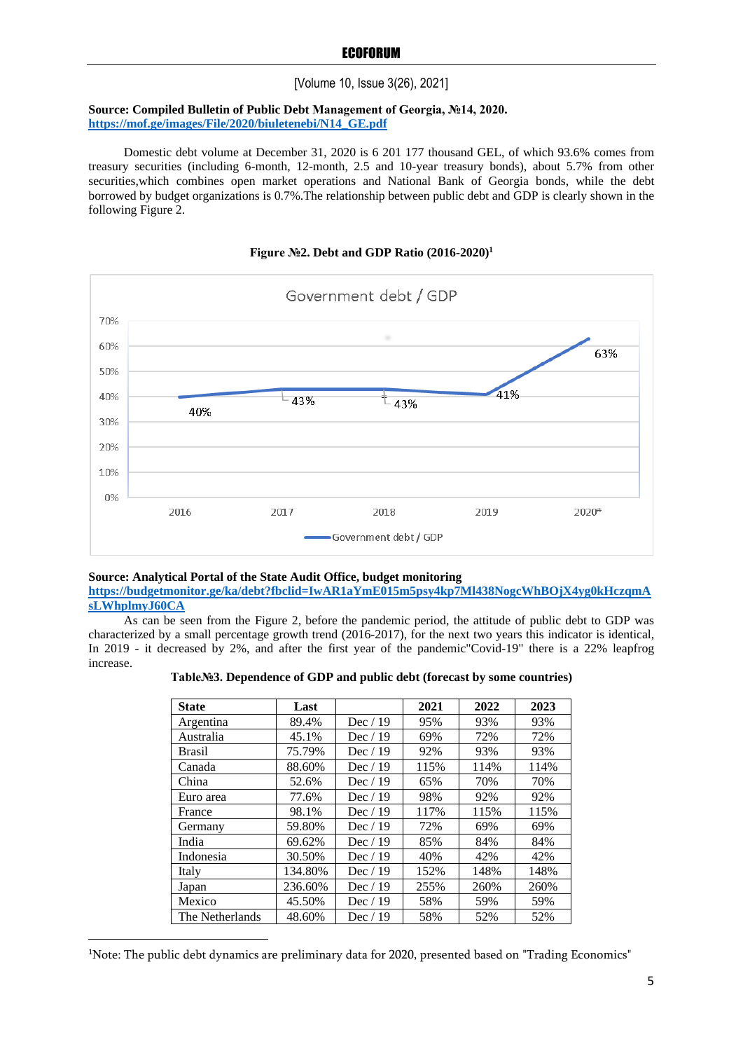# [Volume 10, Issue 3(26), 2021]

# **Source: Compiled Bulletin of Public Debt Management of Georgia, №14, 2020. [https://mof.ge/images/File/2020/biuletenebi/N14\\_GE.pdf](https://mof.ge/images/File/2020/biuletenebi/N14_GE.pdf)**

Domestic debt volume at December 31, 2020 is 6 201 177 thousand GEL, of which 93.6% comes from treasury securities (including 6-month, 12-month, 2.5 and 10-year treasury bonds), about 5.7% from other securities, which combines open market operations and National Bank of Georgia bonds, while the debt borrowed by budget organizations is 0.7%.The relationship between public debt and GDP is clearly shown in the following Figure 2.





#### **Source: Analytical Portal of the State Audit Office, budget monitoring**

**[https://budgetmonitor.ge/ka/debt?fbclid=IwAR1aYmE015m5psy4kp7Ml438NogcWhBOjX4yg0kHczqmA](https://budgetmonitor.ge/ka/debt?fbclid=IwAR1aYmE015m5psy4kp7Ml438NogcWhBOjX4yg0kHczqmAsLWhplmyJ60CA) [sLWhplmyJ60CA](https://budgetmonitor.ge/ka/debt?fbclid=IwAR1aYmE015m5psy4kp7Ml438NogcWhBOjX4yg0kHczqmAsLWhplmyJ60CA)**

As can be seen from the Figure 2, before the pandemic period, the attitude of public debt to GDP was characterized by a small percentage growth trend (2016-2017), for the next two years this indicator is identical, In 2019 - it decreased by 2%, and after the first year of the pandemic"Covid-19" there is a 22% leapfrog increase.

| Table.No.3. Dependence of GDP and public debt (forecast by some countries) |  |  |  |  |  |  |
|----------------------------------------------------------------------------|--|--|--|--|--|--|
|----------------------------------------------------------------------------|--|--|--|--|--|--|

| <b>State</b>    | Last    |           | 2021 | 2022 | 2023 |
|-----------------|---------|-----------|------|------|------|
| Argentina       | 89.4%   | Dec $/19$ | 95%  | 93%  | 93%  |
| Australia       | 45.1%   | Dec $/19$ | 69%  | 72%  | 72%  |
| <b>Brasil</b>   | 75.79%  | Dec $/19$ | 92%  | 93%  | 93%  |
| Canada          | 88.60%  | Dec $/19$ | 115% | 114% | 114% |
| China           | 52.6%   | Dec $/19$ | 65%  | 70%  | 70%  |
| Euro area       | 77.6%   | Dec $/19$ | 98%  | 92%  | 92%  |
| France          | 98.1%   | Dec $/19$ | 117% | 115% | 115% |
| Germany         | 59.80%  | Dec $/19$ | 72%  | 69%  | 69%  |
| India           | 69.62%  | Dec $/19$ | 85%  | 84%  | 84%  |
| Indonesia       | 30.50%  | Dec $/19$ | 40%  | 42%  | 42%  |
| Italy           | 134.80% | Dec $/19$ | 152% | 148% | 148% |
| Japan           | 236.60% | Dec $/19$ | 255% | 260% | 260% |
| Mexico          | 45.50%  | Dec $/19$ | 58%  | 59%  | 59%  |
| The Netherlands | 48.60%  | Dec $/19$ | 58%  | 52%  | 52%  |

<sup>1</sup>Note: The public debt dynamics are preliminary data for 2020, presented based on "Trading Economics"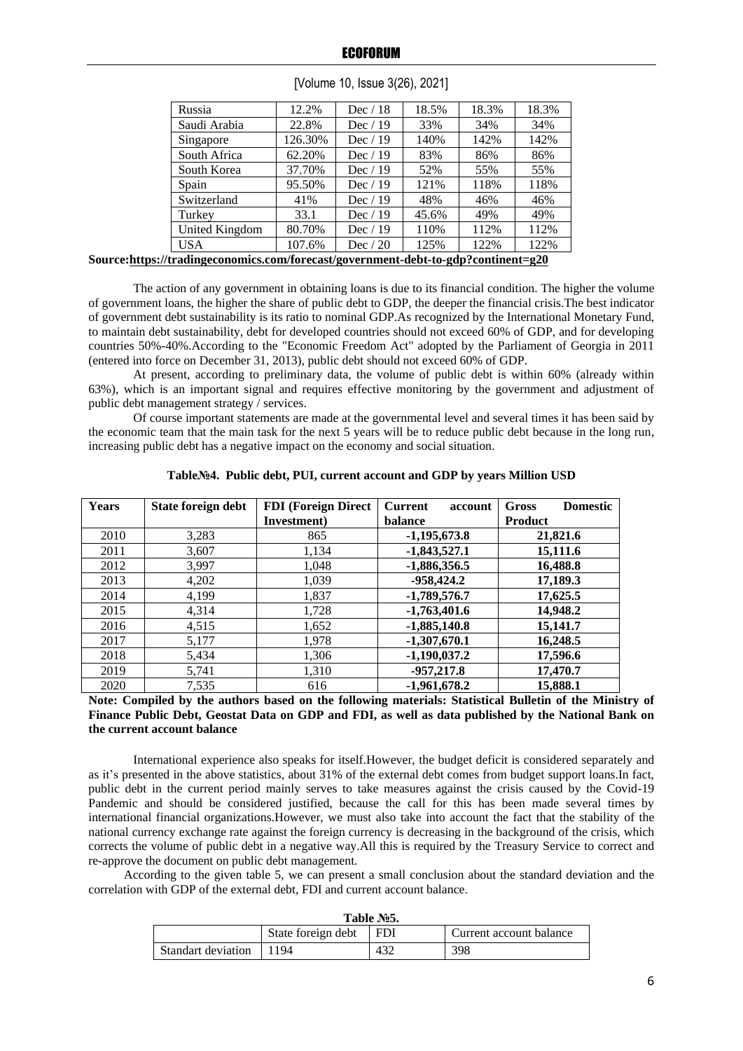| Russia                                                               | 12.2%   | Dec $/18$ | 18.5% | 18.3% | 18.3% |
|----------------------------------------------------------------------|---------|-----------|-------|-------|-------|
| Saudi Arabia                                                         | 22.8%   | Dec $/19$ | 33%   | 34%   | 34%   |
| Singapore                                                            | 126.30% | Dec $/19$ | 140%  | 142%  | 142%  |
| South Africa                                                         | 62.20%  | Dec $/19$ | 83%   | 86%   | 86%   |
| South Korea                                                          | 37.70%  | Dec $/19$ | 52%   | 55%   | 55%   |
| Spain                                                                | 95.50%  | Dec $/19$ | 121%  | 118%  | 118%  |
| Switzerland                                                          | 41%     | Dec $/19$ | 48%   | 46%   | 46%   |
| Turkey                                                               | 33.1    | Dec $/19$ | 45.6% | 49%   | 49%   |
| United Kingdom                                                       | 80.70%  | Dec $/19$ | 110%  | 112%  | 112%  |
| <b>USA</b>                                                           | 107.6%  | Dec $/20$ | 125%  | 122%  | 122%  |
| //tradingeconomics.com/forecast/government-debt-to-gdn?continent-g20 |         |           |       |       |       |

| [Volume 10, Issue 3(26), 2021] |  |  |
|--------------------------------|--|--|
|                                |  |  |

**Source**:https://

The action of any government in obtaining loans is due to its financial condition. The higher the volume of government loans, the higher the share of public debt to GDP, the deeper the financial crisis.The best indicator of government debt sustainability is its ratio to nominal GDP.As recognized by the International Monetary Fund, to maintain debt sustainability, debt for developed countries should not exceed 60% of GDP, and for developing countries 50%-40%.According to the "Economic Freedom Act" adopted by the Parliament of Georgia in 2011 (entered into force on December 31, 2013), public debt should not exceed 60% of GDP.

At present, according to preliminary data, the volume of public debt is within 60% (already within 63%), which is an important signal and requires effective monitoring by the government and adjustment of public debt management strategy / services.

Of course important statements are made at the governmental level and several times it has been said by the economic team that the main task for the next 5 years will be to reduce public debt because in the long run, increasing public debt has a negative impact on the economy and social situation.

| <b>Years</b> | State foreign debt | <b>FDI</b> (Foreign Direct | <b>Current</b><br>account | <b>Domestic</b><br>Gross |
|--------------|--------------------|----------------------------|---------------------------|--------------------------|
|              |                    | Investment)                | balance                   | <b>Product</b>           |
| 2010         | 3,283              | 865                        | $-1,195,673.8$            | 21,821.6                 |
| 2011         | 3,607              | 1,134                      | $-1,843,527.1$            | 15,111.6                 |
| 2012         | 3,997              | 1,048                      | $-1,886,356.5$            | 16,488.8                 |
| 2013         | 4,202              | 1,039                      | $-958,424.2$              | 17,189.3                 |
| 2014         | 4,199              | 1,837                      | $-1,789,576.7$            | 17,625.5                 |
| 2015         | 4,314              | 1,728                      | $-1,763,401.6$            | 14,948.2                 |
| 2016         | 4,515              | 1,652                      | $-1,885,140.8$            | 15,141.7                 |
| 2017         | 5,177              | 1,978                      | $-1,307,670.1$            | 16,248.5                 |
| 2018         | 5,434              | 1,306                      | $-1,190,037.2$            | 17,596.6                 |
| 2019         | 5,741              | 1,310                      | $-957,217.8$              | 17,470.7                 |
| 2020         | 7,535              | 616                        | $-1,961,678.2$            | 15,888.1                 |

**Table№4. Public debt, PUI, current account and GDP by years Million USD**

**Note: Compiled by the authors based on the following materials: Statistical Bulletin of the Ministry of Finance Public Debt, Geostat Data on GDP and FDI, as well as data published by the National Bank on the current account balance**

International experience also speaks for itself.However, the budget deficit is considered separately and as it's presented in the above statistics, about 31% of the external debt comes from budget support loans.In fact, public debt in the current period mainly serves to take measures against the crisis caused by the Covid-19 Pandemic and should be considered justified, because the call for this has been made several times by international financial organizations.However, we must also take into account the fact that the stability of the national currency exchange rate against the foreign currency is decreasing in the background of the crisis, which corrects the volume of public debt in a negative way.All this is required by the Treasury Service to correct and re-approve the document on public debt management.

According to the given table 5, we can present a small conclusion about the standard deviation and the correlation with GDP of the external debt, FDI and current account balance.

| 1 аріе јуз.             |                        |     |                         |  |  |  |
|-------------------------|------------------------|-----|-------------------------|--|--|--|
|                         | State foreign debt FDI |     | Current account balance |  |  |  |
| Standart deviation 1194 |                        | 432 | 398                     |  |  |  |

**Table №5.**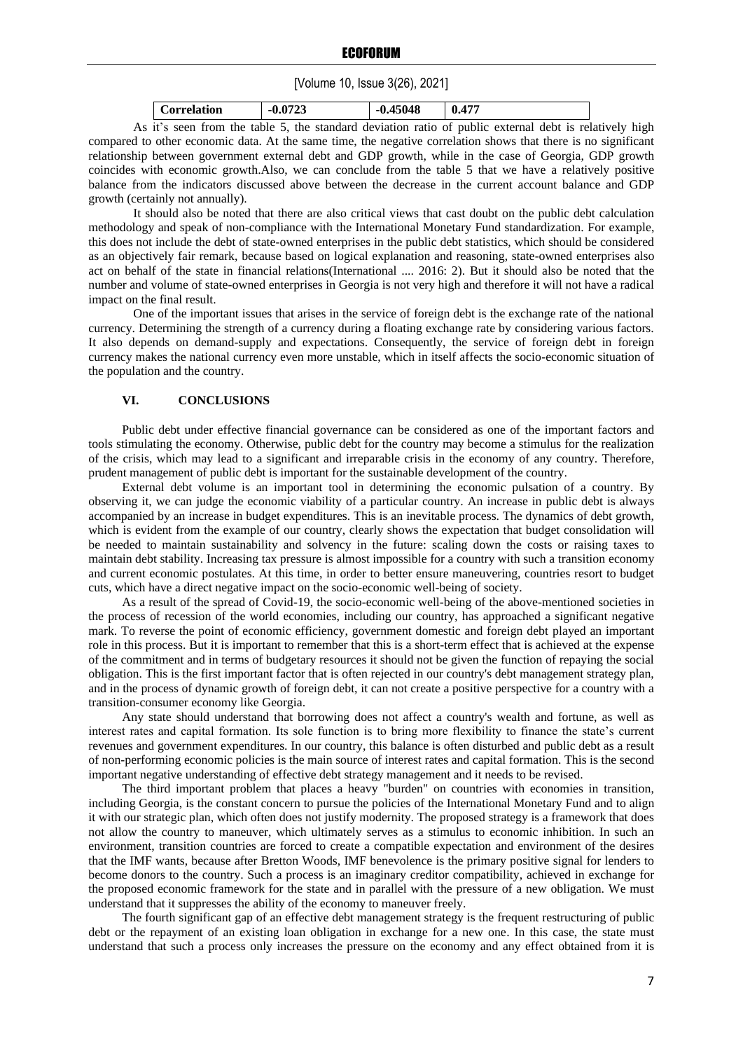# [Volume 10, Issue 3(26), 2021]

| Correlation | $-0.072$ <sup>2</sup> | 45048<br>-v. | $AT^-$<br> |
|-------------|-----------------------|--------------|------------|

As it's seen from the table 5, the standard deviation ratio of public external debt is relatively high compared to other economic data. At the same time, the negative correlation shows that there is no significant relationship between government external debt and GDP growth, while in the case of Georgia, GDP growth coincides with economic growth.Also, we can conclude from the table 5 that we have a relatively positive balance from the indicators discussed above between the decrease in the current account balance and GDP growth (certainly not annually).

It should also be noted that there are also critical views that cast doubt on the public debt calculation methodology and speak of non-compliance with the International Monetary Fund standardization. For example, this does not include the debt of state-owned enterprises in the public debt statistics, which should be considered as an objectively fair remark, because based on logical explanation and reasoning, state-owned enterprises also act on behalf of the state in financial relations(International .... 2016: 2). But it should also be noted that the number and volume of state-owned enterprises in Georgia is not very high and therefore it will not have a radical impact on the final result.

One of the important issues that arises in the service of foreign debt is the exchange rate of the national currency. Determining the strength of a currency during a floating exchange rate by considering various factors. It also depends on demand-supply and expectations. Consequently, the service of foreign debt in foreign currency makes the national currency even more unstable, which in itself affects the socio-economic situation of the population and the country.

### **VI. CONCLUSIONS**

Public debt under effective financial governance can be considered as one of the important factors and tools stimulating the economy. Otherwise, public debt for the country may become a stimulus for the realization of the crisis, which may lead to a significant and irreparable crisis in the economy of any country. Therefore, prudent management of public debt is important for the sustainable development of the country.

External debt volume is an important tool in determining the economic pulsation of a country. By observing it, we can judge the economic viability of a particular country. An increase in public debt is always accompanied by an increase in budget expenditures. This is an inevitable process. The dynamics of debt growth, which is evident from the example of our country, clearly shows the expectation that budget consolidation will be needed to maintain sustainability and solvency in the future: scaling down the costs or raising taxes to maintain debt stability. Increasing tax pressure is almost impossible for a country with such a transition economy and current economic postulates. At this time, in order to better ensure maneuvering, countries resort to budget cuts, which have a direct negative impact on the socio-economic well-being of society.

As a result of the spread of Covid-19, the socio-economic well-being of the above-mentioned societies in the process of recession of the world economies, including our country, has approached a significant negative mark. To reverse the point of economic efficiency, government domestic and foreign debt played an important role in this process. But it is important to remember that this is a short-term effect that is achieved at the expense of the commitment and in terms of budgetary resources it should not be given the function of repaying the social obligation. This is the first important factor that is often rejected in our country's debt management strategy plan, and in the process of dynamic growth of foreign debt, it can not create a positive perspective for a country with a transition-consumer economy like Georgia.

Any state should understand that borrowing does not affect a country's wealth and fortune, as well as interest rates and capital formation. Its sole function is to bring more flexibility to finance the state's current revenues and government expenditures. In our country, this balance is often disturbed and public debt as a result of non-performing economic policies is the main source of interest rates and capital formation. This is the second important negative understanding of effective debt strategy management and it needs to be revised.

The third important problem that places a heavy "burden" on countries with economies in transition, including Georgia, is the constant concern to pursue the policies of the International Monetary Fund and to align it with our strategic plan, which often does not justify modernity. The proposed strategy is a framework that does not allow the country to maneuver, which ultimately serves as a stimulus to economic inhibition. In such an environment, transition countries are forced to create a compatible expectation and environment of the desires that the IMF wants, because after Bretton Woods, IMF benevolence is the primary positive signal for lenders to become donors to the country. Such a process is an imaginary creditor compatibility, achieved in exchange for the proposed economic framework for the state and in parallel with the pressure of a new obligation. We must understand that it suppresses the ability of the economy to maneuver freely.

The fourth significant gap of an effective debt management strategy is the frequent restructuring of public debt or the repayment of an existing loan obligation in exchange for a new one. In this case, the state must understand that such a process only increases the pressure on the economy and any effect obtained from it is